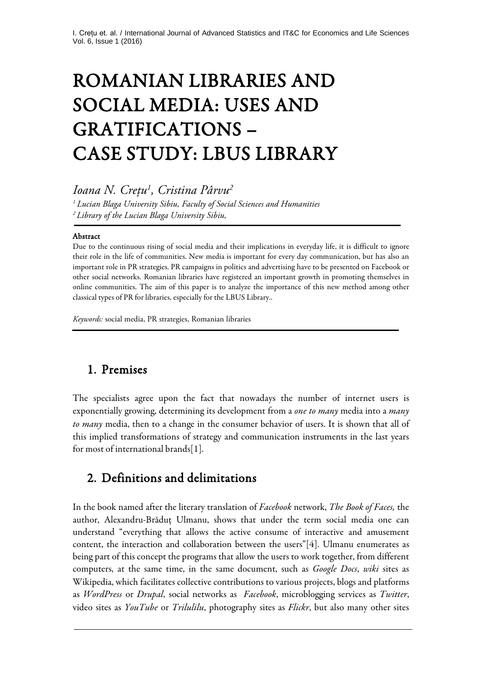# ROMANIAN LIBRARIES AND SOCIAL MEDIA: USES AND GRATIFICATIONS – CASE STUDY: LBUS LIBRARY

*Ioana N. Crețu1 , Cristina Pârvu2*

*<sup>1</sup> Lucian Blaga University Sibiu, Faculty of Social Sciences and Humanities 2 Library of the Lucian Blaga University Sibiu,* 

#### Abstract

j

j

Due to the continuous rising of social media and their implications in everyday life, it is difficult to ignore their role in the life of communities. New media is important for every day communication, but has also an important role in PR strategies. PR campaigns in politics and advertising have to be presented on Facebook or other social networks. Romanian libraries have registered an important growth in promoting themselves in online communities. The aim of this paper is to analyze the importance of this new method among other classical types of PR for libraries, especially for the LBUS Library..

*Keywords:* social media, PR strategies, Romanian libraries

#### 1. Premises

The specialists agree upon the fact that nowadays the number of internet users is exponentially growing, determining its development from a *one to many* media into a *many to many* media, then to a change in the consumer behavior of users. It is shown that all of this implied transformations of strategy and communication instruments in the last years for most of international brands[1].

#### 2. Definitions and delimitations

In the book named after the literary translation of *Facebook* network, *The Book of Faces,* the author, Alexandru-Brăduţ Ulmanu, shows that under the term social media one can understand "everything that allows the active consume of interactive and amusement content, the interaction and collaboration between the users"[4]. Ulmanu enumerates as being part of this concept the programs that allow the users to work together, from different computers, at the same time, in the same document, such as *Google Docs*, *wiki* sites as Wikipedia, which facilitates collective contributions to various projects, blogs and platforms as *WordPress* or *Drupal*, social networks as *Facebook*, microblogging services as *Twitter*, video sites as *YouTube* or *Trilulilu*, photography sites as *Flickr*, but also many other sites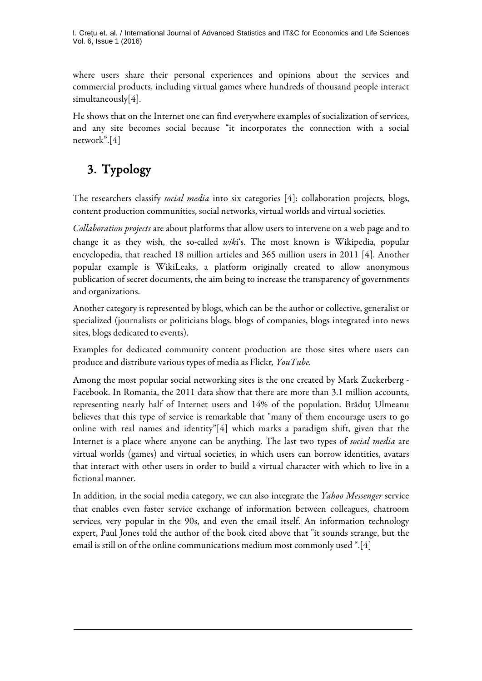I. Crețu et. al. / International Journal of Advanced Statistics and IT&C for Economics and Life Sciences Vol. 6, Issue 1 (2016)

where users share their personal experiences and opinions about the services and commercial products, including virtual games where hundreds of thousand people interact simultaneously[4].

He shows that on the Internet one can find everywhere examples of socialization of services, and any site becomes social because "it incorporates the connection with a social network".[4]

# 3. Typology

The researchers classify *social media* into six categories [4]: collaboration projects, blogs, content production communities, social networks, virtual worlds and virtual societies.

*Collaboration projects* are about platforms that allow users to intervene on a web page and to change it as they wish, the so-called *wik*i's. The most known is Wikipedia, popular encyclopedia, that reached 18 million articles and 365 million users in 2011 [4]. Another popular example is WikiLeaks, a platform originally created to allow anonymous publication of secret documents, the aim being to increase the transparency of governments and organizations.

Another category is represented by blogs, which can be the author or collective, generalist or specialized (journalists or politicians blogs, blogs of companies, blogs integrated into news sites, blogs dedicated to events).

Examples for dedicated community content production are those sites where users can produce and distribute various types of media as Flickr*, YouTube.*

Among the most popular social networking sites is the one created by Mark Zuckerberg - Facebook. In Romania, the 2011 data show that there are more than 3.1 million accounts, representing nearly half of Internet users and 14% of the population. Brăduţ Ulmeanu believes that this type of service is remarkable that "many of them encourage users to go online with real names and identity"[4] which marks a paradigm shift, given that the Internet is a place where anyone can be anything. The last two types of *social media* are virtual worlds (games) and virtual societies, in which users can borrow identities, avatars that interact with other users in order to build a virtual character with which to live in a fictional manner.

In addition, in the social media category, we can also integrate the *Yahoo Messenger* service that enables even faster service exchange of information between colleagues, chatroom services, very popular in the 90s, and even the email itself. An information technology expert, Paul Jones told the author of the book cited above that "it sounds strange, but the email is still on of the online communications medium most commonly used ".[4]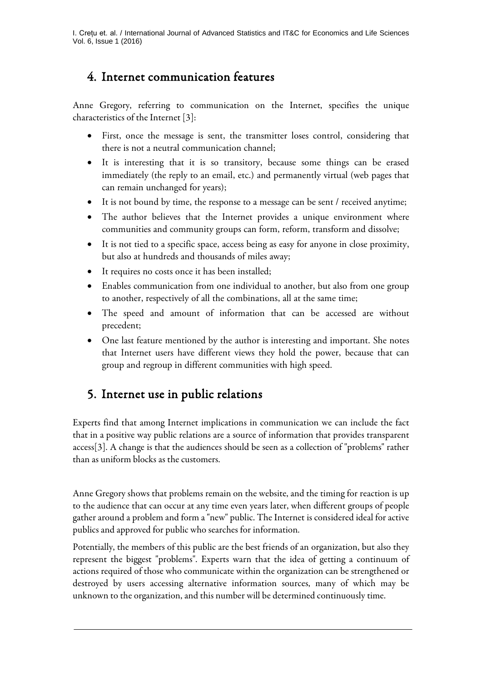## 4. Internet communication features

Anne Gregory, referring to communication on the Internet, specifies the unique characteristics of the Internet [3]:

- First, once the message is sent, the transmitter loses control, considering that there is not a neutral communication channel;
- It is interesting that it is so transitory, because some things can be erased immediately (the reply to an email, etc.) and permanently virtual (web pages that can remain unchanged for years);
- It is not bound by time, the response to a message can be sent / received anytime;
- The author believes that the Internet provides a unique environment where communities and community groups can form, reform, transform and dissolve;
- It is not tied to a specific space, access being as easy for anyone in close proximity, but also at hundreds and thousands of miles away;
- It requires no costs once it has been installed;
- Enables communication from one individual to another, but also from one group to another, respectively of all the combinations, all at the same time;
- The speed and amount of information that can be accessed are without precedent;
- One last feature mentioned by the author is interesting and important. She notes that Internet users have different views they hold the power, because that can group and regroup in different communities with high speed.

# 5. Internet use in public relations

Experts find that among Internet implications in communication we can include the fact that in a positive way public relations are a source of information that provides transparent access[3]. A change is that the audiences should be seen as a collection of "problems" rather than as uniform blocks as the customers.

Anne Gregory shows that problems remain on the website, and the timing for reaction is up to the audience that can occur at any time even years later, when different groups of people gather around a problem and form a "new" public. The Internet is considered ideal for active publics and approved for public who searches for information.

Potentially, the members of this public are the best friends of an organization, but also they represent the biggest "problems". Experts warn that the idea of getting a continuum of actions required of those who communicate within the organization can be strengthened or destroyed by users accessing alternative information sources, many of which may be unknown to the organization, and this number will be determined continuously time.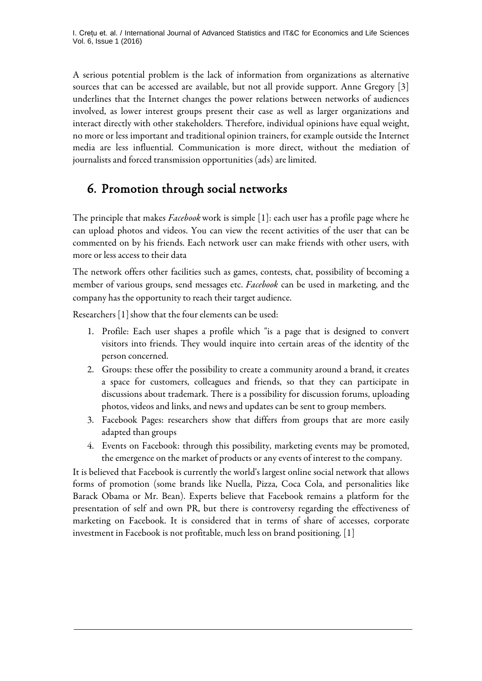A serious potential problem is the lack of information from organizations as alternative sources that can be accessed are available, but not all provide support. Anne Gregory [3] underlines that the Internet changes the power relations between networks of audiences involved, as lower interest groups present their case as well as larger organizations and interact directly with other stakeholders. Therefore, individual opinions have equal weight, no more or less important and traditional opinion trainers, for example outside the Internet media are less influential. Communication is more direct, without the mediation of journalists and forced transmission opportunities (ads) are limited.

# 6. Promotion through social networks

The principle that makes *Facebook*work is simple [1]: each user has a profile page where he can upload photos and videos. You can view the recent activities of the user that can be commented on by his friends. Each network user can make friends with other users, with more or less access to their data

The network offers other facilities such as games, contests, chat, possibility of becoming a member of various groups, send messages etc. *Facebook* can be used in marketing, and the company has the opportunity to reach their target audience.

Researchers [1] show that the four elements can be used:

- 1. Profile: Each user shapes a profile which "is a page that is designed to convert visitors into friends. They would inquire into certain areas of the identity of the person concerned.
- 2. Groups: these offer the possibility to create a community around a brand, it creates a space for customers, colleagues and friends, so that they can participate in discussions about trademark. There is a possibility for discussion forums, uploading photos, videos and links, and news and updates can be sent to group members.
- 3. Facebook Pages: researchers show that differs from groups that are more easily adapted than groups
- 4. Events on Facebook: through this possibility, marketing events may be promoted, the emergence on the market of products or any events of interest to the company.

It is believed that Facebook is currently the world's largest online social network that allows forms of promotion (some brands like Nuella, Pizza, Coca Cola, and personalities like Barack Obama or Mr. Bean). Experts believe that Facebook remains a platform for the presentation of self and own PR, but there is controversy regarding the effectiveness of marketing on Facebook. It is considered that in terms of share of accesses, corporate investment in Facebook is not profitable, much less on brand positioning. [1]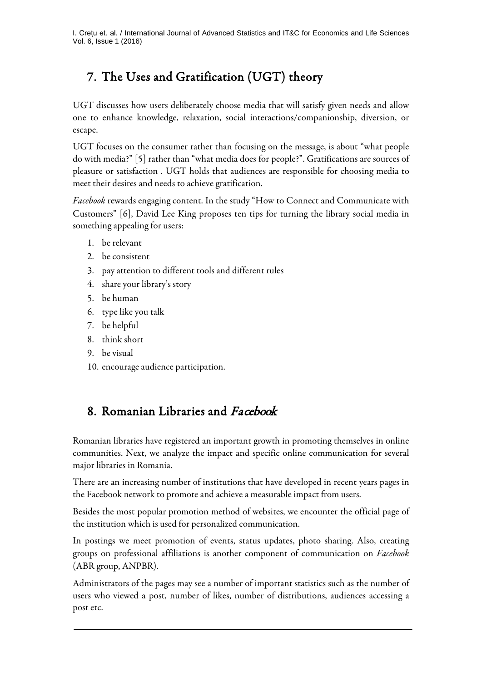I. Crețu et. al. / International Journal of Advanced Statistics and IT&C for Economics and Life Sciences Vol. 6, Issue 1 (2016)

# 7. The Uses and Gratification (UGT) theory

UGT discusses how users deliberately choose media that will satisfy given needs and allow one to enhance knowledge, relaxation, social interactions/companionship, diversion, or escape.

UGT focuses on the consumer rather than focusing on the message, is about "what people do with media?" [5] rather than "what media does for people?". Gratifications are sources of pleasure or satisfaction . UGT holds that audiences are responsible for choosing media to meet their desires and needs to achieve gratification.

*Facebook* rewards engaging content. In the study "How to Connect and Communicate with Customers" [6], David Lee King proposes ten tips for turning the library social media in something appealing for users:

- 1. be relevant
- 2. be consistent
- 3. pay attention to different tools and different rules
- 4. share your library's story
- 5. be human
- 6. type like you talk
- 7. be helpful
- 8. think short
- 9. be visual
- 10. encourage audience participation.

### 8. Romanian Libraries and Facebook

Romanian libraries have registered an important growth in promoting themselves in online communities. Next, we analyze the impact and specific online communication for several major libraries in Romania.

There are an increasing number of institutions that have developed in recent years pages in the Facebook network to promote and achieve a measurable impact from users.

Besides the most popular promotion method of websites, we encounter the official page of the institution which is used for personalized communication.

In postings we meet promotion of events, status updates, photo sharing. Also, creating groups on professional affiliations is another component of communication on *Facebook* (ABR group, ANPBR).

Administrators of the pages may see a number of important statistics such as the number of users who viewed a post, number of likes, number of distributions, audiences accessing a post etc.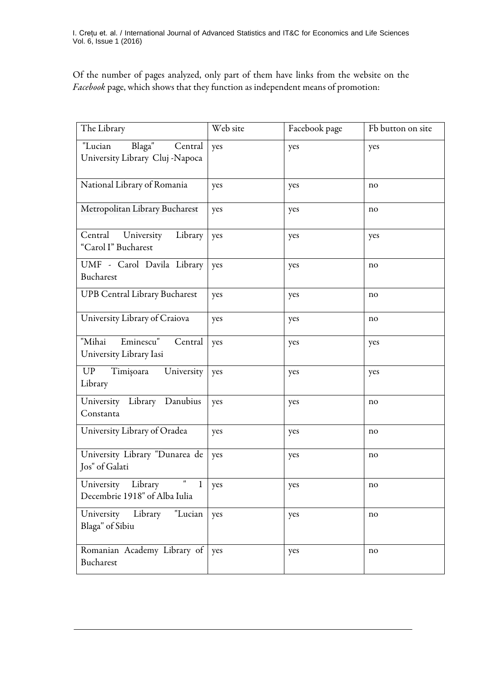Of the number of pages analyzed, only part of them have links from the website on the *Facebook* page, which shows that they function as independent means of promotion:

| The Library                                                                               | Web site | Facebook page | Fb button on site |
|-------------------------------------------------------------------------------------------|----------|---------------|-------------------|
| Blaga"<br>"Lucian<br>Central<br>University Library Cluj -Napoca                           | yes      | yes           | yes               |
| National Library of Romania                                                               | yes      | yes           | no                |
| Metropolitan Library Bucharest                                                            | yes      | yes           | no                |
| Central University<br>Library<br>"Carol I" Bucharest                                      | yes      | yes           | yes               |
| UMF - Carol Davila Library<br>Bucharest                                                   | yes      | yes           | no                |
| <b>UPB Central Library Bucharest</b>                                                      | yes      | yes           | no                |
| University Library of Craiova                                                             | yes      | yes           | no                |
| Eminescu"<br>"Mihai<br>Central<br>University Library Iasi                                 | yes      | yes           | yes               |
| <b>UP</b><br>Timişoara<br>University<br>Library                                           | yes      | yes           | yes               |
| University Library Danubius<br>Constanta                                                  | yes      | yes           | no                |
| University Library of Oradea                                                              | yes      | yes           | no                |
| University Library "Dunarea de<br>Jos" of Galati                                          | yes      | yes           | no                |
| University Library<br>$\pmb{\mathsf{H}}$<br>$\mathbf{1}$<br>Decembrie 1918" of Alba Iulia | yes      | yes           | no                |
| University Library "Lucian<br>Blaga" of Sibiu                                             | yes      | yes           | no                |
| Romanian Academy Library of<br>Bucharest                                                  | yes      | yes           | no                |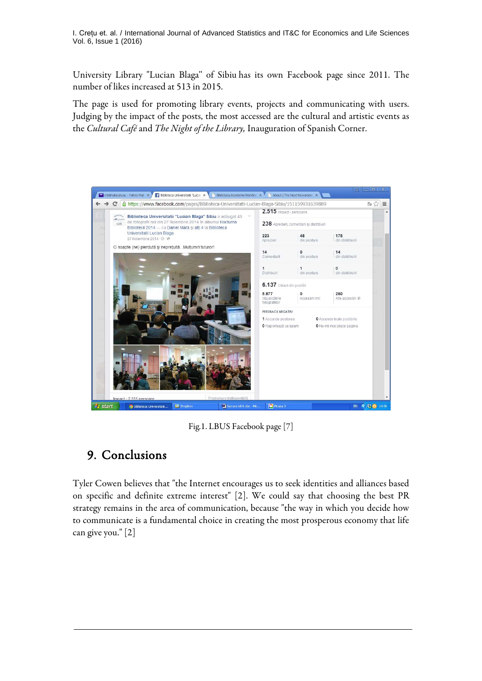I. Crețu et. al. / International Journal of Advanced Statistics and IT&C for Economics and Life Sciences Vol. 6, Issue 1 (2016)

University Library "Lucian Blaga'' of Sibiu has its own Facebook page since 2011. The number of likes increased at 513 in 2015.

The page is used for promoting library events, projects and communicating with users. Judging by the impact of the posts, the most accessed are the cultural and artistic events as the *Cultural Café* and *The Night of the Library,* Inauguration of Spanish Corner.



Fig.1. LBUS Facebook page [7]

#### 9. Conclusions

Tyler Cowen believes that "the Internet encourages us to seek identities and alliances based on specific and definite extreme interest" [2]. We could say that choosing the best PR strategy remains in the area of communication, because "the way in which you decide how to communicate is a fundamental choice in creating the most prosperous economy that life can give you." [2]